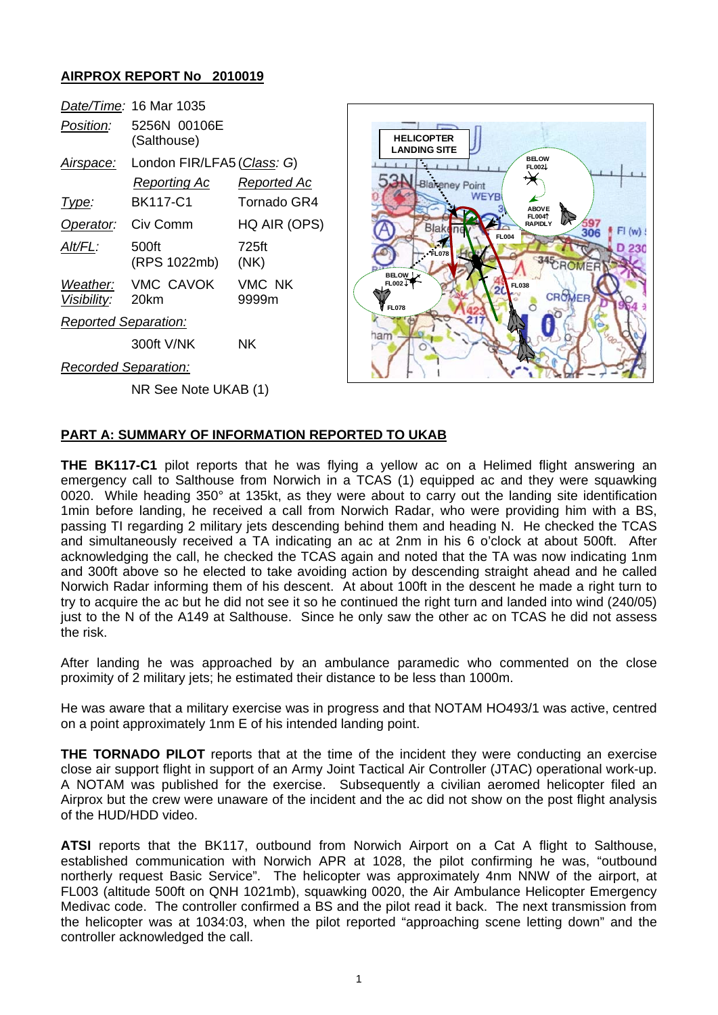## **AIRPROX REPORT No 2010019**

|                                | Date/Time: 16 Mar 1035      |                 |
|--------------------------------|-----------------------------|-----------------|
| Position:                      | 5256N 00106E<br>(Salthouse) |                 |
| Airspace:                      | London FIR/LFA5 (Class: G)  |                 |
|                                | Reporting Ac                | Reported Ac     |
| Type:                          | BK117-C1                    | Tornado GR4     |
| Operator:                      | Civ Comm                    | HQ AIR (OPS)    |
| Alt/FL:                        | 500ft<br>(RPS 1022mb)       | 725ft<br>(NK)   |
| Weather:<br><i>Visibility:</i> | <b>VMC CAVOK</b><br>20km    | VMC NK<br>9999m |
| <b>Reported Separation:</b>    |                             |                 |
|                                | 300ft V/NK                  | ΝK              |
| Recorded Separation:           |                             |                 |

NR See Note UKAB (1)



## **PART A: SUMMARY OF INFORMATION REPORTED TO UKAB**

**THE BK117-C1** pilot reports that he was flying a yellow ac on a Helimed flight answering an emergency call to Salthouse from Norwich in a TCAS (1) equipped ac and they were squawking 0020. While heading 350° at 135kt, as they were about to carry out the landing site identification 1min before landing, he received a call from Norwich Radar, who were providing him with a BS, passing TI regarding 2 military jets descending behind them and heading N. He checked the TCAS and simultaneously received a TA indicating an ac at 2nm in his 6 o'clock at about 500ft. After acknowledging the call, he checked the TCAS again and noted that the TA was now indicating 1nm and 300ft above so he elected to take avoiding action by descending straight ahead and he called Norwich Radar informing them of his descent. At about 100ft in the descent he made a right turn to try to acquire the ac but he did not see it so he continued the right turn and landed into wind (240/05) just to the N of the A149 at Salthouse. Since he only saw the other ac on TCAS he did not assess the risk.

After landing he was approached by an ambulance paramedic who commented on the close proximity of 2 military jets; he estimated their distance to be less than 1000m.

He was aware that a military exercise was in progress and that NOTAM HO493/1 was active, centred on a point approximately 1nm E of his intended landing point.

**THE TORNADO PILOT** reports that at the time of the incident they were conducting an exercise close air support flight in support of an Army Joint Tactical Air Controller (JTAC) operational work-up. A NOTAM was published for the exercise. Subsequently a civilian aeromed helicopter filed an Airprox but the crew were unaware of the incident and the ac did not show on the post flight analysis of the HUD/HDD video.

**ATSI** reports that the BK117, outbound from Norwich Airport on a Cat A flight to Salthouse, established communication with Norwich APR at 1028, the pilot confirming he was, "outbound northerly request Basic Service". The helicopter was approximately 4nm NNW of the airport, at FL003 (altitude 500ft on QNH 1021mb), squawking 0020, the Air Ambulance Helicopter Emergency Medivac code. The controller confirmed a BS and the pilot read it back. The next transmission from the helicopter was at 1034:03, when the pilot reported "approaching scene letting down" and the controller acknowledged the call.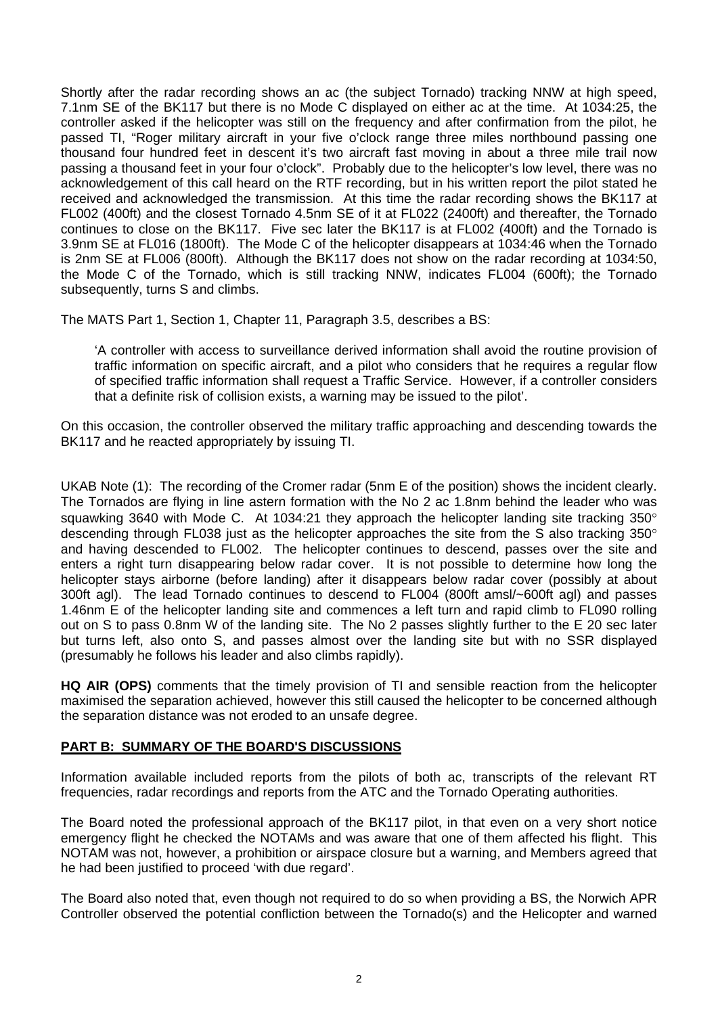Shortly after the radar recording shows an ac (the subject Tornado) tracking NNW at high speed, 7.1nm SE of the BK117 but there is no Mode C displayed on either ac at the time. At 1034:25, the controller asked if the helicopter was still on the frequency and after confirmation from the pilot, he passed TI, "Roger military aircraft in your five o'clock range three miles northbound passing one thousand four hundred feet in descent it's two aircraft fast moving in about a three mile trail now passing a thousand feet in your four o'clock". Probably due to the helicopter's low level, there was no acknowledgement of this call heard on the RTF recording, but in his written report the pilot stated he received and acknowledged the transmission. At this time the radar recording shows the BK117 at FL002 (400ft) and the closest Tornado 4.5nm SE of it at FL022 (2400ft) and thereafter, the Tornado continues to close on the BK117. Five sec later the BK117 is at FL002 (400ft) and the Tornado is 3.9nm SE at FL016 (1800ft). The Mode C of the helicopter disappears at 1034:46 when the Tornado is 2nm SE at FL006 (800ft). Although the BK117 does not show on the radar recording at 1034:50, the Mode C of the Tornado, which is still tracking NNW, indicates FL004 (600ft); the Tornado subsequently, turns S and climbs.

The MATS Part 1, Section 1, Chapter 11, Paragraph 3.5, describes a BS:

'A controller with access to surveillance derived information shall avoid the routine provision of traffic information on specific aircraft, and a pilot who considers that he requires a regular flow of specified traffic information shall request a Traffic Service. However, if a controller considers that a definite risk of collision exists, a warning may be issued to the pilot'.

On this occasion, the controller observed the military traffic approaching and descending towards the BK117 and he reacted appropriately by issuing TI.

UKAB Note (1): The recording of the Cromer radar (5nm E of the position) shows the incident clearly. The Tornados are flying in line astern formation with the No 2 ac 1.8nm behind the leader who was squawking 3640 with Mode C. At 1034:21 they approach the helicopter landing site tracking 350° descending through FL038 just as the helicopter approaches the site from the S also tracking 350° and having descended to FL002. The helicopter continues to descend, passes over the site and enters a right turn disappearing below radar cover. It is not possible to determine how long the helicopter stays airborne (before landing) after it disappears below radar cover (possibly at about 300ft agl). The lead Tornado continues to descend to FL004 (800ft amsl/~600ft agl) and passes 1.46nm E of the helicopter landing site and commences a left turn and rapid climb to FL090 rolling out on S to pass 0.8nm W of the landing site. The No 2 passes slightly further to the E 20 sec later but turns left, also onto S, and passes almost over the landing site but with no SSR displayed (presumably he follows his leader and also climbs rapidly).

**HQ AIR (OPS)** comments that the timely provision of TI and sensible reaction from the helicopter maximised the separation achieved, however this still caused the helicopter to be concerned although the separation distance was not eroded to an unsafe degree.

## **PART B: SUMMARY OF THE BOARD'S DISCUSSIONS**

Information available included reports from the pilots of both ac, transcripts of the relevant RT frequencies, radar recordings and reports from the ATC and the Tornado Operating authorities.

The Board noted the professional approach of the BK117 pilot, in that even on a very short notice emergency flight he checked the NOTAMs and was aware that one of them affected his flight. This NOTAM was not, however, a prohibition or airspace closure but a warning, and Members agreed that he had been justified to proceed 'with due regard'.

The Board also noted that, even though not required to do so when providing a BS, the Norwich APR Controller observed the potential confliction between the Tornado(s) and the Helicopter and warned